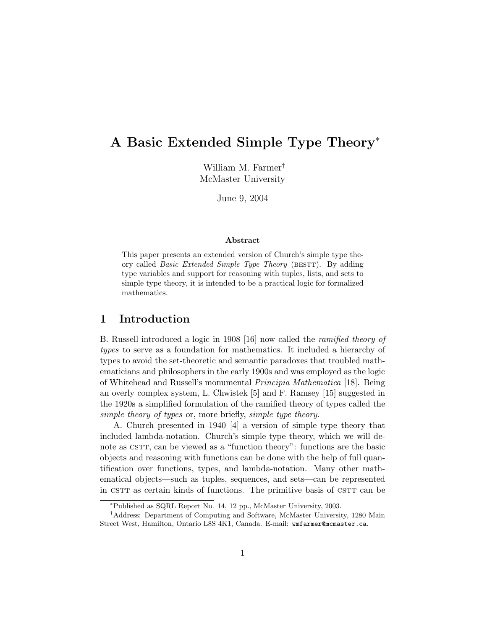# A Basic Extended Simple Type Theory<sup>∗</sup>

William M. Farmer† McMaster University

June 9, 2004

#### Abstract

This paper presents an extended version of Church's simple type theory called *Basic Extended Simple Type Theory* (BESTT). By adding type variables and support for reasoning with tuples, lists, and sets to simple type theory, it is intended to be a practical logic for formalized mathematics.

### 1 Introduction

B. Russell introduced a logic in 1908 [16] now called the ramified theory of types to serve as a foundation for mathematics. It included a hierarchy of types to avoid the set-theoretic and semantic paradoxes that troubled mathematicians and philosophers in the early 1900s and was employed as the logic of Whitehead and Russell's monumental Principia Mathematica [18]. Being an overly complex system, L. Chwistek [5] and F. Ramsey [15] suggested in the 1920s a simplified formulation of the ramified theory of types called the simple theory of types or, more briefly, simple type theory.

A. Church presented in 1940 [4] a version of simple type theory that included lambda-notation. Church's simple type theory, which we will denote as CSTT, can be viewed as a "function theory": functions are the basic objects and reasoning with functions can be done with the help of full quantification over functions, types, and lambda-notation. Many other mathematical objects—such as tuples, sequences, and sets—can be represented in CSTT as certain kinds of functions. The primitive basis of CSTT can be

<sup>∗</sup>Published as SQRL Report No. 14, 12 pp., McMaster University, 2003.

<sup>†</sup>Address: Department of Computing and Software, McMaster University, 1280 Main Street West, Hamilton, Ontario L8S 4K1, Canada. E-mail: wmfarmer@mcmaster.ca.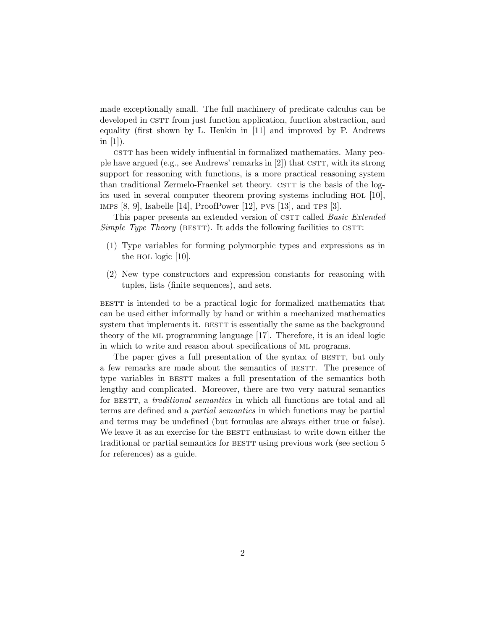made exceptionally small. The full machinery of predicate calculus can be developed in CSTT from just function application, function abstraction, and equality (first shown by L. Henkin in [11] and improved by P. Andrews in  $[1]$ ).

cstrt has been widely influential in formalized mathematics. Many people have argued (e.g., see Andrews' remarks in [2]) that  $\sigma$ g r, with its strong support for reasoning with functions, is a more practical reasoning system than traditional Zermelo-Fraenkel set theory. CSTT is the basis of the logics used in several computer theorem proving systems including hol [10], IMPS  $[8, 9]$ , Isabelle  $[14]$ , ProofPower  $[12]$ , PVS  $[13]$ , and TPS  $[3]$ .

This paper presents an extended version of CSTT called *Basic Extended* Simple Type Theory (BESTT). It adds the following facilities to CSTT:

- (1) Type variables for forming polymorphic types and expressions as in the HOL logic  $[10]$ .
- (2) New type constructors and expression constants for reasoning with tuples, lists (finite sequences), and sets.

bestt is intended to be a practical logic for formalized mathematics that can be used either informally by hand or within a mechanized mathematics system that implements it. BESTT is essentially the same as the background theory of the ml programming language [17]. Therefore, it is an ideal logic in which to write and reason about specifications of ml programs.

The paper gives a full presentation of the syntax of BESTT, but only a few remarks are made about the semantics of BESTT. The presence of type variables in BESTT makes a full presentation of the semantics both lengthy and complicated. Moreover, there are two very natural semantics for BESTT, a *traditional semantics* in which all functions are total and all terms are defined and a partial semantics in which functions may be partial and terms may be undefined (but formulas are always either true or false). We leave it as an exercise for the BESTT enthusiast to write down either the traditional or partial semantics for BESTT using previous work (see section 5) for references) as a guide.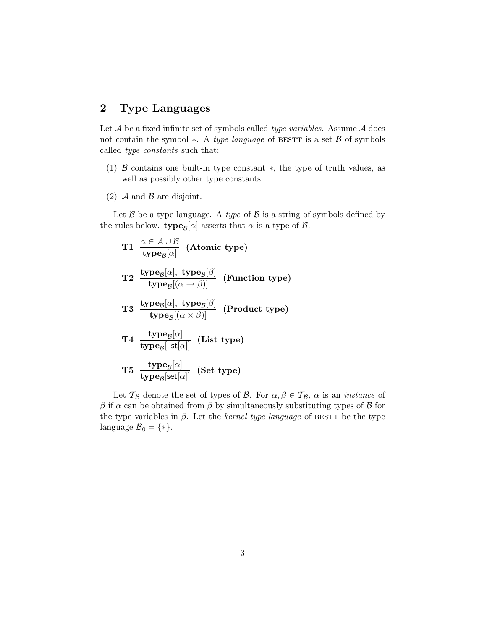# 2 Type Languages

Let  $A$  be a fixed infinite set of symbols called *type variables*. Assume  $A$  does not contain the symbol  $*$ . A type language of BESTT is a set  $\beta$  of symbols called type constants such that:

- (1) B contains one built-in type constant ∗, the type of truth values, as well as possibly other type constants.
- (2)  $\mathcal A$  and  $\mathcal B$  are disjoint.

Let  $\beta$  be a type language. A type of  $\beta$  is a string of symbols defined by the rules below. type<sub> $\mathcal{B}[\alpha]$ </sub> asserts that  $\alpha$  is a type of  $\beta$ .

T1 
$$
\frac{\alpha \in A \cup B}{\text{type}_B[\alpha]}
$$
 (Atomic type)  
\nT2  $\frac{\text{type}_B[\alpha], \text{ type}_B[\beta]}{\text{type}_B[(\alpha \to \beta)]}$  (Function type)  
\nT3  $\frac{\text{type}_B[\alpha], \text{ type}_B[\beta]}{\text{type}_B[(\alpha \times \beta)]}$  (Product type)  
\nT4  $\frac{\text{type}_B[\alpha]}{\text{type}_B[\text{list}[\alpha]]}$  (List type)  
\nT5  $\frac{\text{type}_B[\alpha]}{\text{type}_B[\text{set}[\alpha]]}$  (Set type)

Let  $\mathcal{T}_{\mathcal{B}}$  denote the set of types of  $\mathcal{B}$ . For  $\alpha, \beta \in \mathcal{T}_{\mathcal{B}}$ ,  $\alpha$  is an *instance* of  $β$  if α can be obtained from  $β$  by simultaneously substituting types of  $β$  for the type variables in  $\beta$ . Let the *kernel type language* of BESTT be the type language  $\mathcal{B}_0 = \{ * \}.$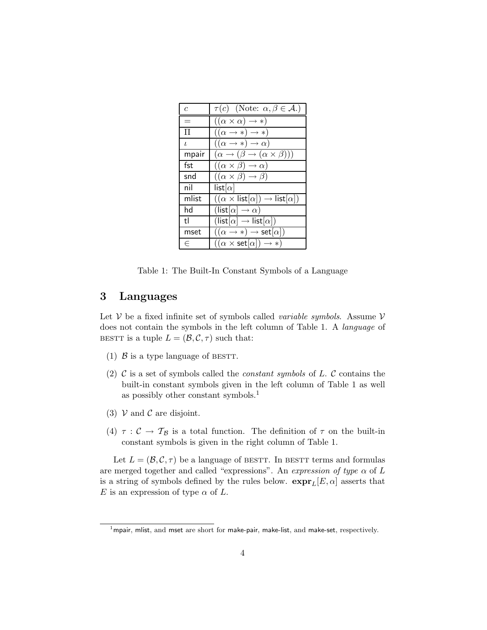| $\epsilon$ | $\tau(c)$ (Note: $\alpha, \beta \in \mathcal{A}$ .)                         |
|------------|-----------------------------------------------------------------------------|
|            | $((\alpha \times \alpha) \rightarrow *)$                                    |
| ш          | $((\alpha \rightarrow *) \rightarrow *)$                                    |
| $\iota$    | $((\alpha \rightarrow *) \rightarrow \alpha)$                               |
| mpair      | $(\alpha \rightarrow (\beta \rightarrow (\alpha \times \beta)))$            |
| fst        | $((\alpha \times \beta) \rightarrow \alpha)$                                |
| snd        | $((\alpha \times \beta) \rightarrow \beta)$                                 |
| nil        | list $[\alpha]$                                                             |
| mlist      | $((\alpha \times \mathsf{list}[\alpha]) \rightarrow \mathsf{list}[\alpha])$ |
| hd         | $(\mathsf{list}[\alpha] \to \alpha)$                                        |
| tl         | $(\mathsf{list}[\alpha] \to \mathsf{list}[\alpha])$                         |
| mset       | $((\alpha \rightarrow *) \rightarrow \mathsf{set}[\alpha])$                 |
| F          | $((\alpha \times \mathsf{set}[\alpha]) \to *)$                              |

Table 1: The Built-In Constant Symbols of a Language

## 3 Languages

Let  $V$  be a fixed infinite set of symbols called *variable symbols*. Assume  $V$ does not contain the symbols in the left column of Table 1. A language of BESTT is a tuple  $L = (\mathcal{B}, \mathcal{C}, \tau)$  such that:

- (1)  $\beta$  is a type language of BESTT.
- (2)  $\mathcal C$  is a set of symbols called the *constant symbols* of  $L$ .  $\mathcal C$  contains the built-in constant symbols given in the left column of Table 1 as well as possibly other constant symbols.<sup>1</sup>
- (3)  $V$  and  $C$  are disjoint.
- (4)  $\tau : C \to T_B$  is a total function. The definition of  $\tau$  on the built-in constant symbols is given in the right column of Table 1.

Let  $L = (\mathcal{B}, \mathcal{C}, \tau)$  be a language of BESTT. In BESTT terms and formulas are merged together and called "expressions". An expression of type  $\alpha$  of L is a string of symbols defined by the rules below.  $\exp(r_L[E,\alpha])$  asserts that E is an expression of type  $\alpha$  of L.

 $1$ mpair, mlist, and mset are short for make-pair, make-list, and make-set, respectively.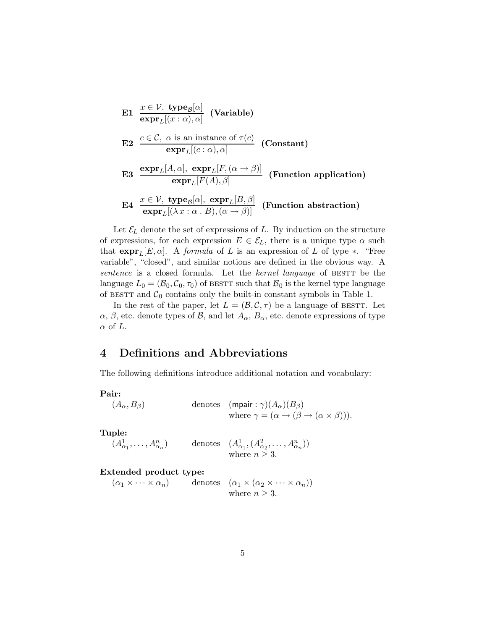\n- **E1** 
$$
\frac{x \in \mathcal{V}, \text{ type}_{\mathcal{B}}[\alpha]}{\text{expr}_L[(x:\alpha),\alpha]}
$$
 (Variable)
\n- **E2**  $\frac{c \in \mathcal{C}, \alpha \text{ is an instance of } \tau(c)}{\text{expr}_L[(c:\alpha),\alpha]}$  (Constant)
\n- **E3**  $\frac{\text{expr}_L[A,\alpha], \text{ expr}_L[F, (\alpha \rightarrow \beta)]}{\text{expr}_L[F(A),\beta]}$  (Function application)
\n- **E4**  $\frac{x \in \mathcal{V}, \text{ type}_{\mathcal{B}}[\alpha], \text{ expr}_L[B,\beta]}{\text{expr}_L[(\lambda x : \alpha \cdot B), (\alpha \rightarrow \beta)]}$  (Function abstraction)
\n

Let  $\mathcal{E}_L$  denote the set of expressions of L. By induction on the structure of expressions, for each expression  $E \in \mathcal{E}_L$ , there is a unique type  $\alpha$  such that  $\exp \mathbf{r}_L[E, \alpha]$ . A formula of L is an expression of L of type  $*$ . "Free variable", "closed", and similar notions are defined in the obvious way. A sentence is a closed formula. Let the kernel language of BESTT be the language  $L_0 = (\mathcal{B}_0, \mathcal{C}_0, \tau_0)$  of BESTT such that  $\mathcal{B}_0$  is the kernel type language of BESTT and  $C_0$  contains only the built-in constant symbols in Table 1.

In the rest of the paper, let  $L = (\mathcal{B}, \mathcal{C}, \tau)$  be a language of BESTT. Let  $\alpha$ ,  $\beta$ , etc. denote types of  $\beta$ , and let  $A_{\alpha}$ ,  $B_{\alpha}$ , etc. denote expressions of type  $\alpha$  of L.

# 4 Definitions and Abbreviations

The following definitions introduce additional notation and vocabulary:

Pair:

 $(A_\alpha, B_\beta)$ 

denotes 
$$
(\text{mpair}: \gamma)(A_{\alpha})(B_{\beta})
$$
  
where  $\gamma = (\alpha \rightarrow (\beta \rightarrow (\alpha \times \beta))).$ 

Tuple:

$$
(A^1_{\alpha_1}, \ldots, A^n_{\alpha_n})
$$
 denotes  $(A^1_{\alpha_1}, (A^2_{\alpha_2}, \ldots, A^n_{\alpha_n}))$   
where  $n \ge 3$ .

### Extended product type:

 $(\alpha_1 \times \cdots \times \alpha_n)$  denotes  $(\alpha_1 \times (\alpha_2 \times \cdots \times \alpha_n))$ where  $n \geq 3$ .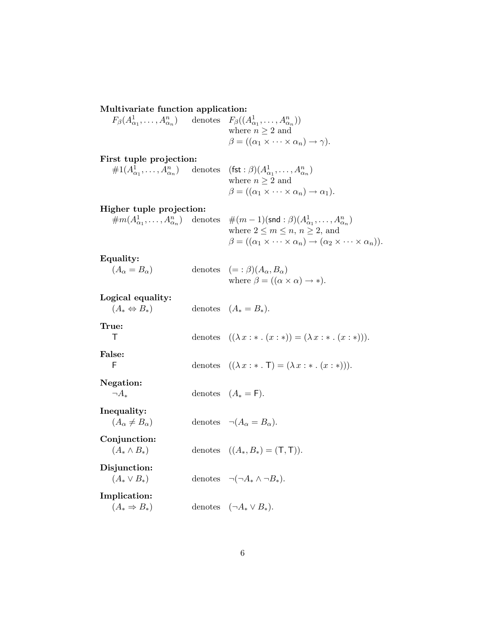Multivariate function application:

 $F_{\beta}(A^1_{\alpha_1},\ldots,A^n_{\alpha_n})$  denotes  $F_{\beta}((A^1_{\alpha_1},\ldots,A^n_{\alpha_n}))$ where  $n \geq 2$  and  $\beta = ((\alpha_1 \times \cdots \times \alpha_n) \rightarrow \gamma).$ 

| First tuple projection: |                                                                                                                  |
|-------------------------|------------------------------------------------------------------------------------------------------------------|
|                         | $\#1(A^1_{\alpha_1},\ldots,A^n_{\alpha_n})$ denotes $(\textsf{fst}:\beta)(A^1_{\alpha_1},\ldots,A^n_{\alpha_n})$ |
|                         | where $n \geq 2$ and                                                                                             |
|                         | $\beta = ((\alpha_1 \times \cdots \times \alpha_n) \rightarrow \alpha_1).$                                       |

### Higher tuple projection:

 $\#m(A^1_{\alpha_1},\ldots,A^n_{\alpha_n})$  denotes  $\#(m-1)(\textsf{snd}:\beta)(A^1_{\alpha_1},\ldots,A^n_{\alpha_n})$ 

where  $2 \leq m \leq n, n \geq 2$ , and  $\beta = ((\alpha_1 \times \cdots \times \alpha_n) \rightarrow (\alpha_2 \times \cdots \times \alpha_n)).$ 

Equality:

| $(A_{\alpha} = B_{\alpha})$ | denotes $(=:\beta)(A_{\alpha},B_{\alpha})$               |
|-----------------------------|----------------------------------------------------------|
|                             | where $\beta = ((\alpha \times \alpha) \rightarrow *)$ . |

Logical equality:

| $25.041$ equality,<br>$(A_* \Leftrightarrow B_*)$ | denotes $(A_* = B_*).$                                                        |
|---------------------------------------------------|-------------------------------------------------------------------------------|
| True:<br>Τ                                        | denotes $((\lambda x : * \ldots (x : *) ) = (\lambda x : * \ldots (x : *))).$ |
| False:<br>F                                       | denotes $((\lambda x : * \cdot \mathsf{T}) = (\lambda x : * \cdot (x : *))).$ |
| Negation:<br>$\neg A$                             | denotes $(A_* = F)$ .                                                         |
| Inequality:<br>$(A_{\alpha} \neq B_{\alpha})$     | denotes $\neg(A_{\alpha} = B_{\alpha})$ .                                     |
| Conjunction:<br>$(A_* \wedge B_*)$                | denotes $((A_*,B_*)=(\mathsf{T},\mathsf{T})).$                                |
| Disjunction:<br>$(A_* \vee B_*)$                  | denotes $\neg(\neg A_* \wedge \neg B_*)$ .                                    |
| Implication:<br>$(A_* \Rightarrow B_*)$           | denotes $(\neg A_* \vee B_*)$ .                                               |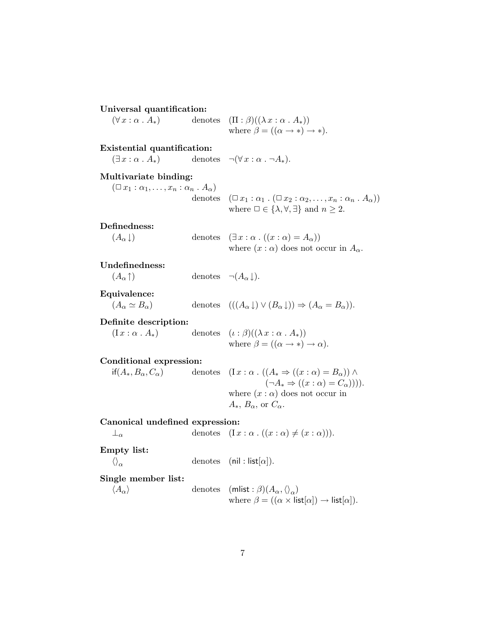Universal quantification:

 $(\forall x : \alpha \cdot A_*)$  denotes  $(\Pi : \beta)((\lambda x : \alpha \cdot A_*))$ where  $\beta = ((\alpha \rightarrow *) \rightarrow *).$ 

### Existential quantification:

 $(\exists x : \alpha \cdot A_*)$  denotes  $\neg(\forall x : \alpha \cdot \neg A_*)$ .

### Multivariate binding:

 $(\Box x_1 : \alpha_1, \ldots, x_n : \alpha_n : A_\alpha)$ 

denotes 
$$
(\Box x_1 : \alpha_1 \cdot (\Box x_2 : \alpha_2, \ldots, x_n : \alpha_n \cdot A_\alpha))
$$
  
where  $\Box \in \{\lambda, \forall, \exists\}$  and  $n \ge 2$ .

#### Definedness:

( $A_{\alpha} \downarrow$ ) denotes ( $\exists x : \alpha \cdot ((x : \alpha) = A_{\alpha})$ ) where  $(x : \alpha)$  does not occur in  $A_{\alpha}$ .

#### Undefinedness:

 $(A_{\alpha}\uparrow)$  denotes  $\neg(A_{\alpha}\downarrow).$ 

#### Equivalence:

# $(A_{\alpha} \simeq B_{\alpha})$  denotes  $(((A_{\alpha} \downarrow) \vee (B_{\alpha} \downarrow)) \Rightarrow (A_{\alpha} = B_{\alpha})).$

## Definite description:

 $(I x : \alpha \cdot A_*)$  denotes  $(\iota : \beta)((\lambda x : \alpha \cdot A_*))$ where  $\beta = ((\alpha \rightarrow *) \rightarrow \alpha)$ .

#### Conditional expression:

| $if(A_*,B_\alpha,C_\alpha)$ | denotes $(Ix : \alpha \cdot ((A^* \Rightarrow ((x : \alpha) = B_\alpha)) \wedge$ |
|-----------------------------|----------------------------------------------------------------------------------|
|                             | $(\neg A_* \Rightarrow ((x : \alpha) = C_\alpha))$ .                             |
|                             | where $(x : \alpha)$ does not occur in                                           |
|                             | $A_*, B_{\alpha}$ , or $C_{\alpha}$ .                                            |

### Canonical undefined expression:

$$
\perp_{\alpha} \qquad \qquad \text{denotes} \quad (I \, x : \alpha \, . \, ((x : \alpha) \neq (x : \alpha))).
$$
\nEmpty list:

 $\left\langle {}\right\rangle _{\alpha}$ denotes (nil : list[ $\alpha$ ]).

#### Single member list:

$$
\langle A_{\alpha} \rangle
$$
 denotes (mlist :  $\beta$ )( $A_{\alpha}$ ,  $\langle \rangle_{\alpha}$ )  
where  $\beta = ((\alpha \times \text{list}[\alpha]) \rightarrow \text{list}[\alpha]).$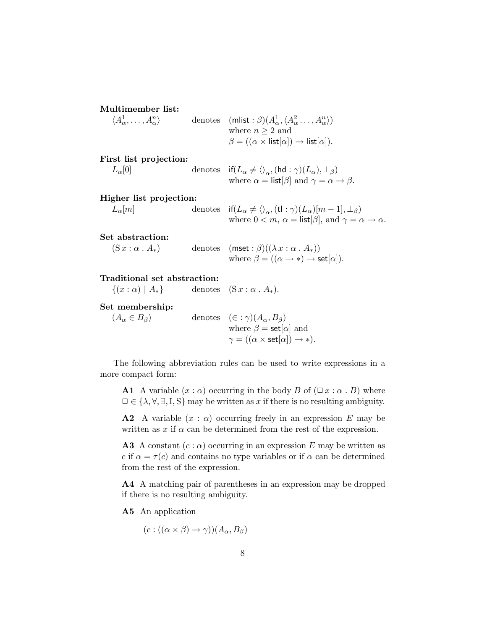| Multimember list:                                       |                                                                                                                                                                                                                         |
|---------------------------------------------------------|-------------------------------------------------------------------------------------------------------------------------------------------------------------------------------------------------------------------------|
| $\langle A^1_\alpha, \ldots, A^n_\alpha \rangle$        | denotes $(\text{mlist}: \beta)(A^1_\alpha, \langle A^2_\alpha \dots, A^n_\alpha \rangle)$<br>where $n \geq 2$ and                                                                                                       |
|                                                         | $\beta = ((\alpha \times \text{list}[\alpha]) \rightarrow \text{list}[\alpha]).$                                                                                                                                        |
| First list projection:                                  |                                                                                                                                                                                                                         |
| $L_{\alpha}[0]$                                         | denotes if $(L_{\alpha} \neq \langle \rangle_{\alpha}, (\text{hd} : \gamma)(L_{\alpha}), \perp_{\beta})$<br>where $\alpha = \text{list}[\beta]$ and $\gamma = \alpha \rightarrow \beta$ .                               |
| Higher list projection:                                 |                                                                                                                                                                                                                         |
| $L_{\alpha}[m]$                                         | denotes if $(L_{\alpha} \neq \langle \rangle_{\alpha}, (\mathsf{t} \mathsf{l} : \gamma)(L_{\alpha})[m-1], \perp_{\beta})$<br>where $0 < m$ , $\alpha = \text{list}[\beta]$ , and $\gamma = \alpha \rightarrow \alpha$ . |
| Set abstraction:                                        |                                                                                                                                                                                                                         |
| $(Sx : \alpha \cdot A_*)$                               | denotes $(mset : \beta)((\lambda x : \alpha A_*))$<br>where $\beta = ((\alpha \rightarrow *) \rightarrow \mathsf{set}[\alpha]).$                                                                                        |
| Traditional set abstraction:                            |                                                                                                                                                                                                                         |
| $\{(x:\alpha)   A_{*}\}\$ denotes $(Sx:\alpha.A_{*})$ . |                                                                                                                                                                                                                         |
| Set membership:                                         |                                                                                                                                                                                                                         |
| $(A_{\alpha} \in B_{\beta})$                            | denotes $(\in : \gamma)(A_{\alpha}, B_{\beta})$                                                                                                                                                                         |
|                                                         | where $\beta = \mathsf{set}[\alpha]$ and                                                                                                                                                                                |

The following abbreviation rules can be used to write expressions in a more compact form:

**A1** A variable  $(x : \alpha)$  occurring in the body B of  $(\Box x : \alpha \cdot B)$  where  $\Box \in \{\lambda, \forall, \exists, I, S\}$  may be written as x if there is no resulting ambiguity.

 $\gamma = ((\alpha \times \mathsf{set}[\alpha]) \to *)$ .

**A2** A variable  $(x : \alpha)$  occurring freely in an expression E may be written as  $x$  if  $\alpha$  can be determined from the rest of the expression.

**A3** A constant  $(c : \alpha)$  occurring in an expression E may be written as c if  $\alpha = \tau(c)$  and contains no type variables or if  $\alpha$  can be determined from the rest of the expression.

A4 A matching pair of parentheses in an expression may be dropped if there is no resulting ambiguity.

A5 An application

 $(c : ((\alpha \times \beta) \rightarrow \gamma))(A_{\alpha}, B_{\beta})$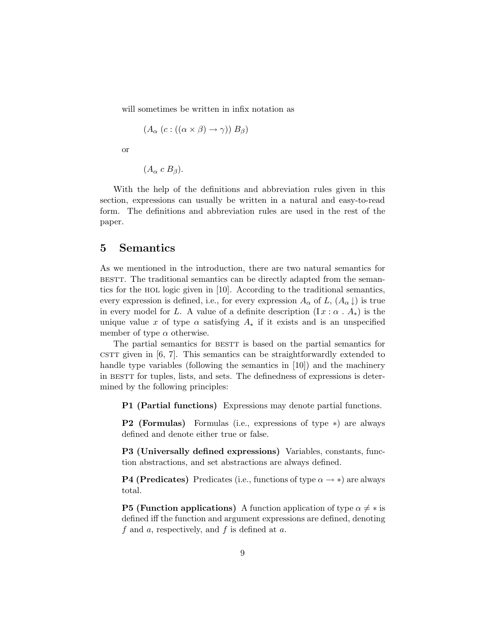will sometimes be written in infix notation as

$$
(A_{\alpha} (c: ((\alpha \times \beta) \to \gamma)) B_{\beta})
$$

or

$$
(A_{\alpha} \ c \ B_{\beta}).
$$

With the help of the definitions and abbreviation rules given in this section, expressions can usually be written in a natural and easy-to-read form. The definitions and abbreviation rules are used in the rest of the paper.

### 5 Semantics

As we mentioned in the introduction, there are two natural semantics for bestt. The traditional semantics can be directly adapted from the semantics for the hol logic given in [10]. According to the traditional semantics, every expression is defined, i.e., for every expression  $A_{\alpha}$  of  $L$ ,  $(A_{\alpha}\downarrow)$  is true in every model for L. A value of a definite description  $(I x : \alpha \cdot A_*)$  is the unique value x of type  $\alpha$  satisfying  $A_*$  if it exists and is an unspecified member of type  $\alpha$  otherwise.

The partial semantics for BESTT is based on the partial semantics for cstrt given in  $[6, 7]$ . This semantics can be straightforwardly extended to handle type variables (following the semantics in [10]) and the machinery in BESTT for tuples, lists, and sets. The definedness of expressions is determined by the following principles:

P1 (Partial functions) Expressions may denote partial functions.

P2 (Formulas) Formulas (i.e., expressions of type ∗) are always defined and denote either true or false.

P3 (Universally defined expressions) Variables, constants, function abstractions, and set abstractions are always defined.

**P4 (Predicates)** Predicates (i.e., functions of type  $\alpha \rightarrow *$ ) are always total.

**P5 (Function applications)** A function application of type  $\alpha \neq *$  is defined iff the function and argument expressions are defined, denoting f and a, respectively, and f is defined at  $a$ .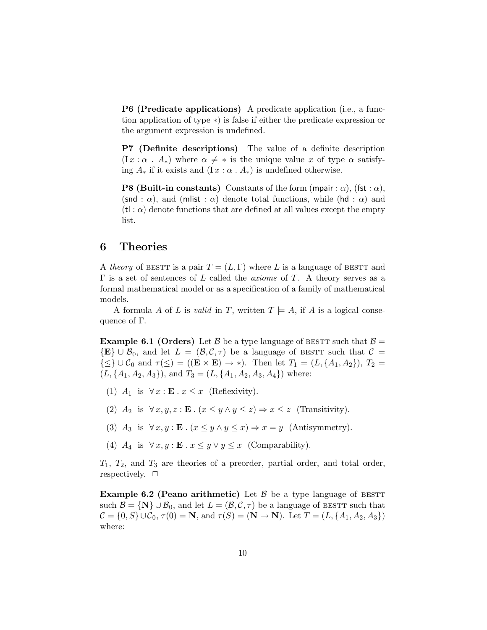P6 (Predicate applications) A predicate application (i.e., a function application of type ∗) is false if either the predicate expression or the argument expression is undefined.

P7 (Definite descriptions) The value of a definite description  $(I x : \alpha : A_*)$  where  $\alpha \neq *$  is the unique value x of type  $\alpha$  satisfying  $A_*$  if it exists and  $(I x : \alpha \cdot A_*)$  is undefined otherwise.

**P8 (Built-in constants)** Constants of the form (mpair :  $\alpha$ ), (fst :  $\alpha$ ), (snd :  $\alpha$ ), and (mlist :  $\alpha$ ) denote total functions, while (hd :  $\alpha$ ) and  $(\mathsf{t} \mathsf{I}: \alpha)$  denote functions that are defined at all values except the empty list.

### 6 Theories

A theory of BESTT is a pair  $T = (L, \Gamma)$  where L is a language of BESTT and  $\Gamma$  is a set of sentences of L called the *axioms* of T. A theory serves as a formal mathematical model or as a specification of a family of mathematical models.

A formula A of L is valid in T, written  $T \models A$ , if A is a logical consequence of Γ.

**Example 6.1 (Orders)** Let B be a type language of BESTT such that  $\beta =$  ${E} \cup \mathcal{B}_0$ , and let  $L = (\mathcal{B}, \mathcal{C}, \tau)$  be a language of BESTT such that  $\mathcal{C} =$  $\{\leq\} \cup C_0$  and  $\tau(\leq) = ((\mathbf{E} \times \mathbf{E}) \to *)$ . Then let  $T_1 = (L, \{A_1, A_2\}), T_2 =$  $(L, \{A_1, A_2, A_3\})$ , and  $T_3 = (L, \{A_1, A_2, A_3, A_4\})$  where:

- (1)  $A_1$  is  $\forall x : \mathbf{E} \cdot x \leq x$  (Reflexivity).
- (2)  $A_2$  is  $\forall x, y, z : \mathbf{E} \cdot (x \leq y \land y \leq z) \Rightarrow x \leq z$  (Transitivity).
- (3)  $A_3$  is  $\forall x, y : \mathbf{E} \cdot (x \leq y \land y \leq x) \Rightarrow x = y$  (Antisymmetry).
- (4)  $A_4$  is  $\forall x, y : \mathbf{E} \cdot x \leq y \lor y \leq x$  (Comparability).

 $T_1$ ,  $T_2$ , and  $T_3$  are theories of a preorder, partial order, and total order, respectively.  $\square$ 

**Example 6.2 (Peano arithmetic)** Let  $\beta$  be a type language of BESTT such  $\mathcal{B} = \{N\} \cup \mathcal{B}_0$ , and let  $L = (\mathcal{B}, \mathcal{C}, \tau)$  be a language of BESTT such that  $\mathcal{C} = \{0, S\} \cup \mathcal{C}_0, \tau(0) = \mathbf{N}$ , and  $\tau(S) = (\mathbf{N} \to \mathbf{N})$ . Let  $T = (L, \{A_1, A_2, A_3\})$ where: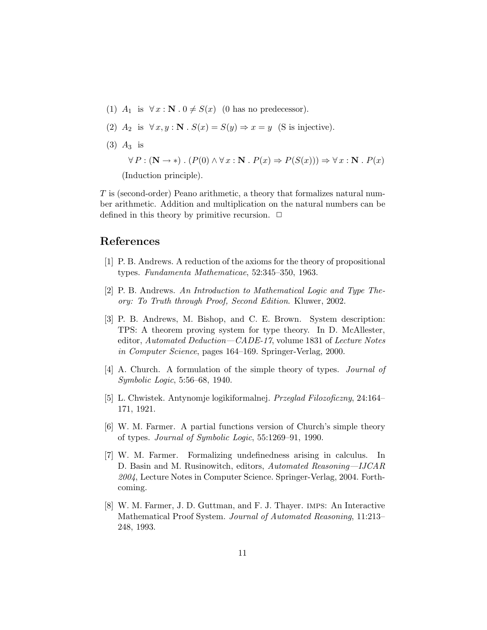- (1)  $A_1$  is  $\forall x : \mathbf{N} \cdot 0 \neq S(x)$  (0 has no predecessor).
- (2)  $A_2$  is  $\forall x, y : \mathbf{N} \cdot S(x) = S(y) \Rightarrow x = y$  (S is injective).
- $(3)$   $A_3$  is

 $\forall P : (\mathbf{N} \to *)$ .  $(P(0) \land \forall x : \mathbf{N} \cdot P(x) \Rightarrow P(S(x))) \Rightarrow \forall x : \mathbf{N} \cdot P(x)$ 

(Induction principle).

T is (second-order) Peano arithmetic, a theory that formalizes natural number arithmetic. Addition and multiplication on the natural numbers can be defined in this theory by primitive recursion.  $\Box$ 

# References

- [1] P. B. Andrews. A reduction of the axioms for the theory of propositional types. Fundamenta Mathematicae, 52:345–350, 1963.
- [2] P. B. Andrews. An Introduction to Mathematical Logic and Type Theory: To Truth through Proof, Second Edition. Kluwer, 2002.
- [3] P. B. Andrews, M. Bishop, and C. E. Brown. System description: TPS: A theorem proving system for type theory. In D. McAllester, editor, Automated Deduction—CADE-17, volume 1831 of Lecture Notes in Computer Science, pages 164–169. Springer-Verlag, 2000.
- [4] A. Church. A formulation of the simple theory of types. Journal of Symbolic Logic, 5:56–68, 1940.
- [5] L. Chwistek. Antynomje logikiformalnej. Przeglad Filozoficzny, 24:164– 171, 1921.
- [6] W. M. Farmer. A partial functions version of Church's simple theory of types. Journal of Symbolic Logic, 55:1269–91, 1990.
- [7] W. M. Farmer. Formalizing undefinedness arising in calculus. In D. Basin and M. Rusinowitch, editors, Automated Reasoning—IJCAR 2004, Lecture Notes in Computer Science. Springer-Verlag, 2004. Forthcoming.
- [8] W. M. Farmer, J. D. Guttman, and F. J. Thayer. imps: An Interactive Mathematical Proof System. Journal of Automated Reasoning, 11:213– 248, 1993.